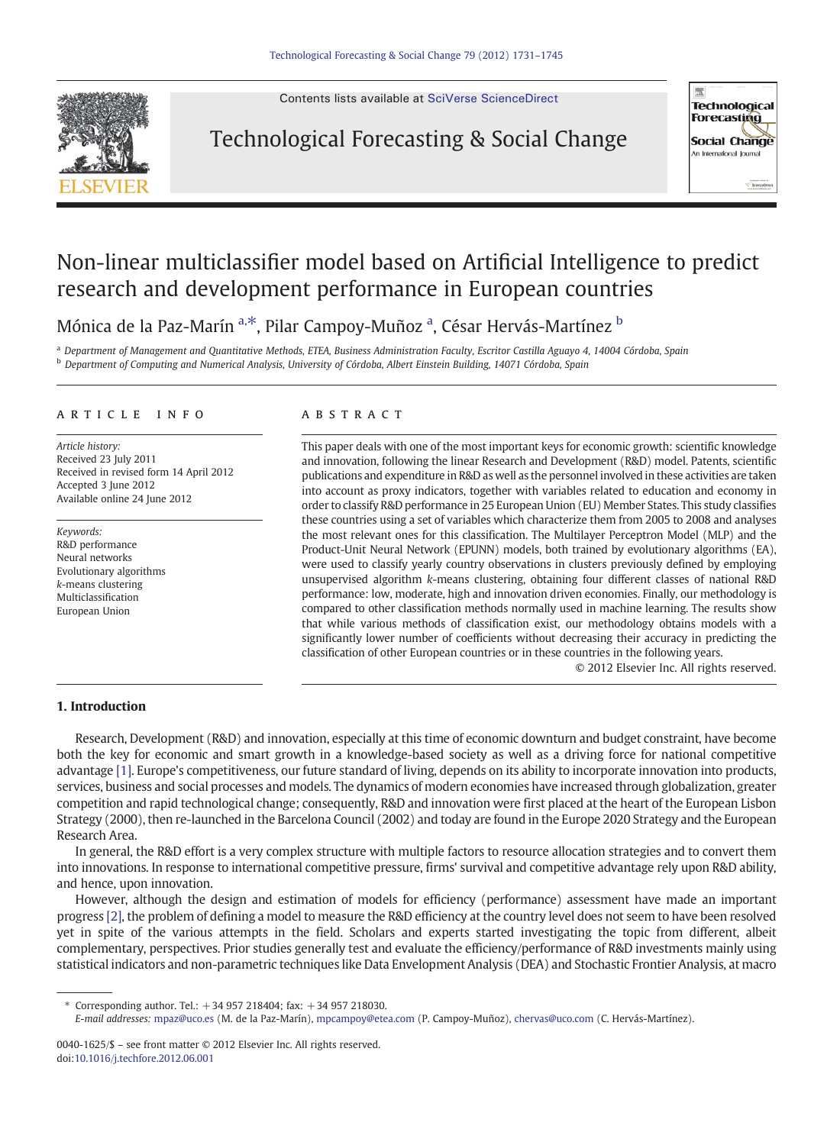

Contents lists available at [SciVerse ScienceDirect](http://www.sciencedirect.com/science/journal/00401625)

## Technological Forecasting & Social Change



# Non-linear multiclassifier model based on Artificial Intelligence to predict research and development performance in European countries

Mónica de la Paz-Marín <sup>a,</sup>\*, Pilar Campoy-Muñoz <sup>a</sup>, César Hervás-Martínez <sup>b</sup>

<sup>a</sup> Department of Management and Quantitative Methods, ETEA, Business Administration Faculty, Escritor Castilla Aguayo 4, 14004 Córdoba, Spain b Department of Computing and Numerical Analysis, University of Córdoba, Albert Einstein Building, 14071 Córdoba, Spain

### article info abstract

Article history: Received 23 July 2011 Received in revised form 14 April 2012 Accepted 3 June 2012 Available online 24 June 2012

Keywords: R&D performance Neural networks Evolutionary algorithms k-means clustering Multiclassification European Union

This paper deals with one of the most important keys for economic growth: scientific knowledge and innovation, following the linear Research and Development (R&D) model. Patents, scientific publications and expenditure in R&D as well as the personnel involved in these activities are taken into account as proxy indicators, together with variables related to education and economy in order to classify R&D performance in 25 European Union (EU) Member States. This study classifies these countries using a set of variables which characterize them from 2005 to 2008 and analyses the most relevant ones for this classification. The Multilayer Perceptron Model (MLP) and the Product-Unit Neural Network (EPUNN) models, both trained by evolutionary algorithms (EA), were used to classify yearly country observations in clusters previously defined by employing unsupervised algorithm k-means clustering, obtaining four different classes of national R&D performance: low, moderate, high and innovation driven economies. Finally, our methodology is compared to other classification methods normally used in machine learning. The results show that while various methods of classification exist, our methodology obtains models with a significantly lower number of coefficients without decreasing their accuracy in predicting the classification of other European countries or in these countries in the following years.

© 2012 Elsevier Inc. All rights reserved.

## 1. Introduction

Research, Development (R&D) and innovation, especially at this time of economic downturn and budget constraint, have become both the key for economic and smart growth in a knowledge-based society as well as a driving force for national competitive advantage [\[1\]](#page--1-0). Europe's competitiveness, our future standard of living, depends on its ability to incorporate innovation into products, services, business and social processes and models. The dynamics of modern economies have increased through globalization, greater competition and rapid technological change; consequently, R&D and innovation were first placed at the heart of the European Lisbon Strategy (2000), then re-launched in the Barcelona Council (2002) and today are found in the Europe 2020 Strategy and the European Research Area.

In general, the R&D effort is a very complex structure with multiple factors to resource allocation strategies and to convert them into innovations. In response to international competitive pressure, firms' survival and competitive advantage rely upon R&D ability, and hence, upon innovation.

However, although the design and estimation of models for efficiency (performance) assessment have made an important progress [\[2\],](#page--1-0) the problem of defining a model to measure the R&D efficiency at the country level does not seem to have been resolved yet in spite of the various attempts in the field. Scholars and experts started investigating the topic from different, albeit complementary, perspectives. Prior studies generally test and evaluate the efficiency/performance of R&D investments mainly using statistical indicators and non-parametric techniques like Data Envelopment Analysis (DEA) and Stochastic Frontier Analysis, at macro

⁎ Corresponding author. Tel.: +34 957 218404; fax: +34 957 218030.

E-mail addresses: [mpaz@uco.es](mailto:mpaz@uco.es) (M. de la Paz-Marín), [mpcampoy@etea.com](mailto:mpcampoy@etea.com) (P. Campoy-Muñoz), [chervas@uco.com](mailto:chervas@uco.com) (C. Hervás-Martínez).

<sup>0040-1625/\$</sup> – see front matter © 2012 Elsevier Inc. All rights reserved. doi[:10.1016/j.techfore.2012.06.001](http://dx.doi.org/10.1016/j.techfore.2012.06.001)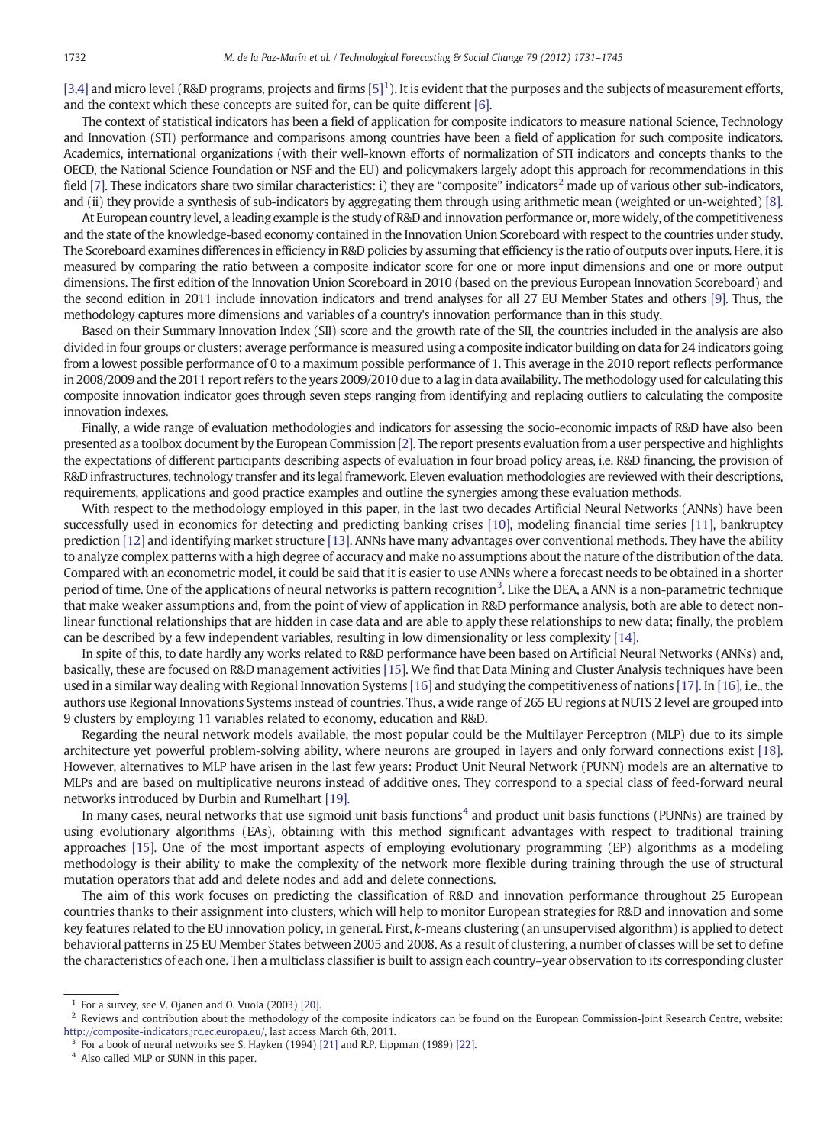$[3,4]$  and micro level (R&D programs, projects and firms  $[5]^1$ ). It is evident that the purposes and the subjects of measurement efforts, and the context which these concepts are suited for, can be quite different [\[6\]](#page--1-0).

The context of statistical indicators has been a field of application for composite indicators to measure national Science, Technology and Innovation (STI) performance and comparisons among countries have been a field of application for such composite indicators. Academics, international organizations (with their well-known efforts of normalization of STI indicators and concepts thanks to the OECD, the National Science Foundation or NSF and the EU) and policymakers largely adopt this approach for recommendations in this field [\[7\].](#page--1-0) These indicators share two similar characteristics: i) they are "composite" indicators<sup>2</sup> made up of various other sub-indicators, and (ii) they provide a synthesis of sub-indicators by aggregating them through using arithmetic mean (weighted or un-weighted) [\[8\].](#page--1-0)

At European country level, a leading example is the study of R&D and innovation performance or, more widely, of the competitiveness and the state of the knowledge-based economy contained in the Innovation Union Scoreboard with respect to the countries under study. The Scoreboard examines differences in efficiency in R&D policies by assuming that efficiency is the ratio of outputs over inputs. Here, it is measured by comparing the ratio between a composite indicator score for one or more input dimensions and one or more output dimensions. The first edition of the Innovation Union Scoreboard in 2010 (based on the previous European Innovation Scoreboard) and the second edition in 2011 include innovation indicators and trend analyses for all 27 EU Member States and others [\[9\]](#page--1-0). Thus, the methodology captures more dimensions and variables of a country's innovation performance than in this study.

Based on their Summary Innovation Index (SII) score and the growth rate of the SII, the countries included in the analysis are also divided in four groups or clusters: average performance is measured using a composite indicator building on data for 24 indicators going from a lowest possible performance of 0 to a maximum possible performance of 1. This average in the 2010 report reflects performance in 2008/2009 and the 2011 report refers to the years 2009/2010 due to a lag in data availability. The methodology used for calculating this composite innovation indicator goes through seven steps ranging from identifying and replacing outliers to calculating the composite innovation indexes.

Finally, a wide range of evaluation methodologies and indicators for assessing the socio-economic impacts of R&D have also been presented as a toolbox document by the European Commission [\[2\].](#page--1-0) The report presents evaluation from a user perspective and highlights the expectations of different participants describing aspects of evaluation in four broad policy areas, i.e. R&D financing, the provision of R&D infrastructures, technology transfer and its legal framework. Eleven evaluation methodologies are reviewed with their descriptions, requirements, applications and good practice examples and outline the synergies among these evaluation methods.

With respect to the methodology employed in this paper, in the last two decades Artificial Neural Networks (ANNs) have been successfully used in economics for detecting and predicting banking crises [\[10\]](#page--1-0), modeling financial time series [\[11\]](#page--1-0), bankruptcy prediction [\[12\]](#page--1-0) and identifying market structure [\[13\].](#page--1-0) ANNs have many advantages over conventional methods. They have the ability to analyze complex patterns with a high degree of accuracy and make no assumptions about the nature of the distribution of the data. Compared with an econometric model, it could be said that it is easier to use ANNs where a forecast needs to be obtained in a shorter period of time. One of the applications of neural networks is pattern recognition<sup>3</sup>. Like the DEA, a ANN is a non-parametric technique that make weaker assumptions and, from the point of view of application in R&D performance analysis, both are able to detect nonlinear functional relationships that are hidden in case data and are able to apply these relationships to new data; finally, the problem can be described by a few independent variables, resulting in low dimensionality or less complexity [\[14\]](#page--1-0).

In spite of this, to date hardly any works related to R&D performance have been based on Artificial Neural Networks (ANNs) and, basically, these are focused on R&D management activities [\[15\].](#page--1-0) We find that Data Mining and Cluster Analysis techniques have been used in a similar way dealing with Regional Innovation Systems [\[16\]](#page--1-0) and studying the competitiveness of nations [\[17\].](#page--1-0) In [\[16\]](#page--1-0), i.e., the authors use Regional Innovations Systems instead of countries. Thus, a wide range of 265 EU regions at NUTS 2 level are grouped into 9 clusters by employing 11 variables related to economy, education and R&D.

Regarding the neural network models available, the most popular could be the Multilayer Perceptron (MLP) due to its simple architecture yet powerful problem-solving ability, where neurons are grouped in layers and only forward connections exist [\[18\].](#page--1-0) However, alternatives to MLP have arisen in the last few years: Product Unit Neural Network (PUNN) models are an alternative to MLPs and are based on multiplicative neurons instead of additive ones. They correspond to a special class of feed-forward neural networks introduced by Durbin and Rumelhart [\[19\]](#page--1-0).

In many cases, neural networks that use sigmoid unit basis functions<sup>4</sup> and product unit basis functions (PUNNs) are trained by using evolutionary algorithms (EAs), obtaining with this method significant advantages with respect to traditional training approaches [\[15\].](#page--1-0) One of the most important aspects of employing evolutionary programming (EP) algorithms as a modeling methodology is their ability to make the complexity of the network more flexible during training through the use of structural mutation operators that add and delete nodes and add and delete connections.

The aim of this work focuses on predicting the classification of R&D and innovation performance throughout 25 European countries thanks to their assignment into clusters, which will help to monitor European strategies for R&D and innovation and some key features related to the EU innovation policy, in general. First, k-means clustering (an unsupervised algorithm) is applied to detect behavioral patterns in 25 EU Member States between 2005 and 2008. As a result of clustering, a number of classes will be set to define the characteristics of each one. Then a multiclass classifier is built to assign each country–year observation to its corresponding cluster

 $1$  For a survey, see V. Ojanen and O. Vuola (2003) [\[20\].](#page--1-0)

<sup>2</sup> Reviews and contribution about the methodology of the composite indicators can be found on the European Commission-Joint Research Centre, website: <http://composite-indicators.jrc.ec.europa.eu/>, last access March 6th, 2011.

 $3$  For a book of neural networks see S. Hayken (1994) [\[21\]](#page--1-0) and R.P. Lippman (1989) [\[22\].](#page--1-0)

<sup>4</sup> Also called MLP or SUNN in this paper.